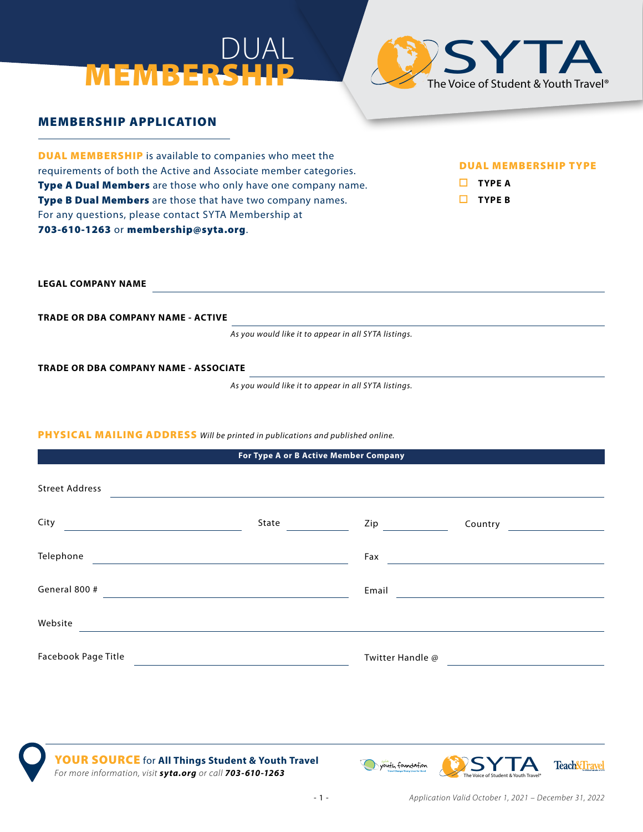# DUAL MEMBER



## MEMBERSHIP APPLICATION

DUAL MEMBERSHIP is available to companies who meet the requirements of both the Active and Associate member categories. Type A Dual Members are those who only have one company name. Type B Dual Members are those that have two company names. For any questions, please contact SYTA Membership at 703-610-1263 or membership@syta.org.

## DUAL MEMBERSHIP TYPE

**TYPE A** 

**TYPE B**

**LEGAL COMPANY NAME**

**TRADE OR DBA COMPANY NAME - ACTIVE**

*As you would like it to appear in all SYTA listings.*

**TRADE OR DBA COMPANY NAME - ASSOCIATE**

*As you would like it to appear in all SYTA listings.*

## PHYSICAL MAILING ADDRESS *Will be printed in publications and published online.*

| For Type A or B Active Member Company                 |                                                                     |                  |  |  |
|-------------------------------------------------------|---------------------------------------------------------------------|------------------|--|--|
| <b>Street Address</b>                                 |                                                                     |                  |  |  |
| City<br><u> 1989 - Johann Stein, fransk politik (</u> | State and the state of the state                                    | $\mathsf{Zip}$   |  |  |
| Telephone                                             | <u> 1980 - Andrea Station Barbara, amerikan personal (h. 1980).</u> | Fax              |  |  |
| General 800 #                                         |                                                                     | <b>Email</b>     |  |  |
| Website                                               |                                                                     |                  |  |  |
| Facebook Page Title                                   |                                                                     | Twitter Handle @ |  |  |

YOUR SOURCE for **All Things Student & Youth Travel** For more information, visit **syta.org** or call **703-610-1263** 

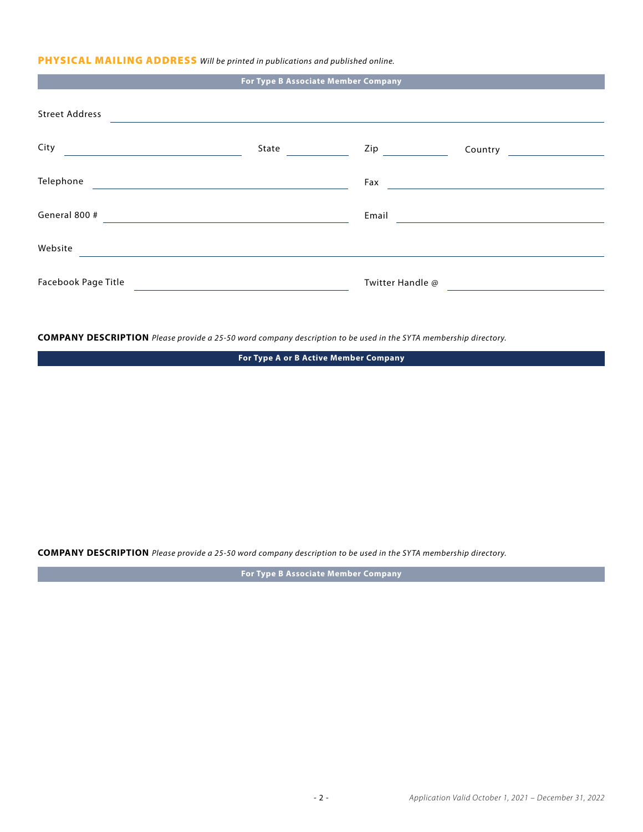## PHYSICAL MAILING ADDRESS *Will be printed in publications and published online.*

|                                                                         | For Type B Associate Member Company                                                                                   |                                                                    |                                              |  |
|-------------------------------------------------------------------------|-----------------------------------------------------------------------------------------------------------------------|--------------------------------------------------------------------|----------------------------------------------|--|
| Street Address                                                          |                                                                                                                       |                                                                    |                                              |  |
| City<br><u> 1980 - Johann Barn, mars an t-Amerikaansk kommunister (</u> | State <u>___</u>                                                                                                      | Zip                                                                |                                              |  |
| Telephone                                                               | the control of the control of the control of the control of the control of the control of                             | Fax                                                                |                                              |  |
| General 800 #                                                           | <u> 1989 - Jan Sterlinger, skriuwer fan it ferskearre fan it ferskearre fan it ferskearre fan it ferskearre fan i</u> |                                                                    | Email <u>Communication and Communication</u> |  |
| Website                                                                 |                                                                                                                       |                                                                    |                                              |  |
| Facebook Page Title                                                     |                                                                                                                       | Twitter Handle @<br><u> 1989 - Andrea State Barbara, poeta esp</u> |                                              |  |
|                                                                         |                                                                                                                       |                                                                    |                                              |  |

**COMPANY DESCRIPTION** *Please provide a 25-50 word company description to be used in the SYTA membership directory.*

**For Type A or B Active Member Company**

**COMPANY DESCRIPTION** *Please provide a 25-50 word company description to be used in the SYTA membership directory.*

**For Type B Associate Member Company**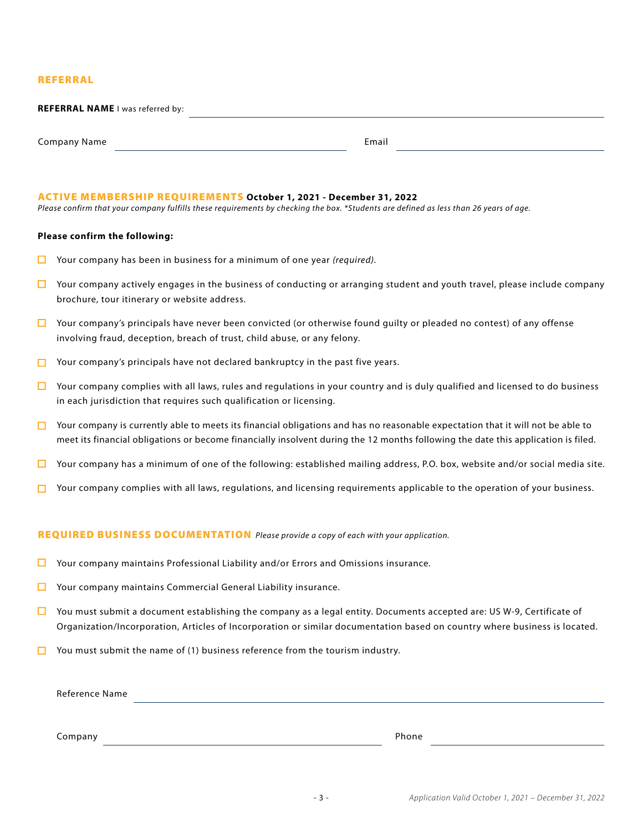#### REFERRAL

| <b>REFERRAL NAME I was referred by:</b> |       |  |
|-----------------------------------------|-------|--|
|                                         |       |  |
| Company Name                            | Email |  |

#### ACTIVE MEMBERSHIP REQUIREMENTS **October 1, 2021 - December 31, 2022**

*Please confirm that your company fulfills these requirements by checking the box. \*Students are defined as less than 26 years of age.*

#### **Please confirm the following:**

- П Your company has been in business for a minimum of one year *(required).*
- $\Box$  Your company actively engages in the business of conducting or arranging student and youth travel, please include company brochure, tour itinerary or website address.
- $\Box$  Your company's principals have never been convicted (or otherwise found guilty or pleaded no contest) of any offense involving fraud, deception, breach of trust, child abuse, or any felony.
- $\Box$  Your company's principals have not declared bankruptcy in the past five years.
- $\Box$ Your company complies with all laws, rules and regulations in your country and is duly qualified and licensed to do business in each jurisdiction that requires such qualification or licensing.
- $\Box$  Your company is currently able to meets its financial obligations and has no reasonable expectation that it will not be able to meet its financial obligations or become financially insolvent during the 12 months following the date this application is filed.
- Your company has a minimum of one of the following: established mailing address, P.O. box, website and/or social media site. П
- Your company complies with all laws, regulations, and licensing requirements applicable to the operation of your business. п.

#### REQUIRED BUSINESS DOCUMENTATION *Please provide a copy of each with your application.*

- □ Your company maintains Professional Liability and/or Errors and Omissions insurance.
- $\Box$ Your company maintains Commercial General Liability insurance.
- You must submit a document establishing the company as a legal entity. Documents accepted are: US W-9, Certificate of П. Organization/Incorporation, Articles of Incorporation or similar documentation based on country where business is located.
- $\Box$  You must submit the name of (1) business reference from the tourism industry.

Reference Name

Company Phone **Phone** Phone **Phone** Phone **Phone** Phone **Phone** Phone **Phone** Phone **Phone**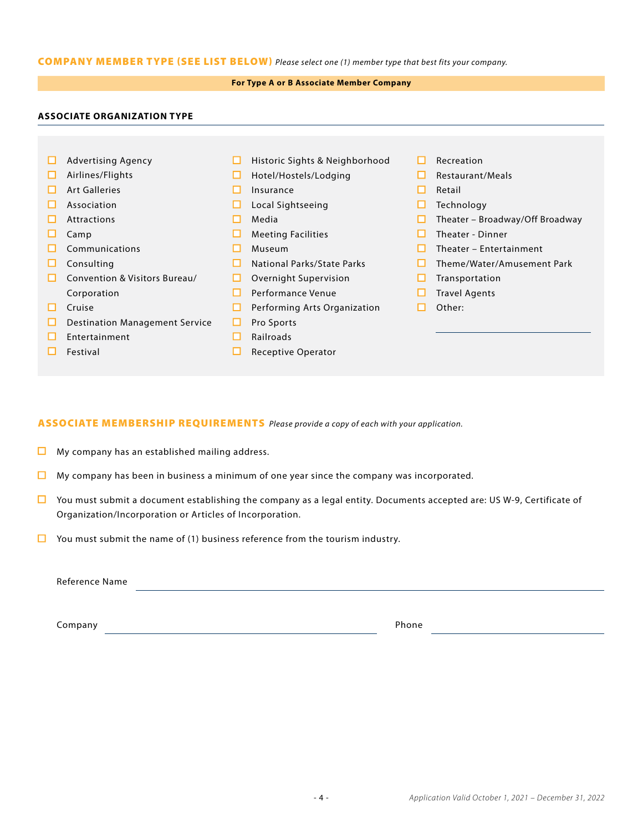## COMPANY MEMBER TYPE (SEE LIST BELOW) *Please select one (1) member type that best fits your company.*

## **For Type A or B Associate Member Company**

## **ASSOCIATE ORGANIZATION TYPE**

| □ | <b>Advertising Agency</b>             | ш | Historic Sights & Neighborhood | Recreation                      |
|---|---------------------------------------|---|--------------------------------|---------------------------------|
| □ | Airlines/Flights                      | ш | Hotel/Hostels/Lodging          | Restaurant/Meals                |
|   | <b>Art Galleries</b>                  |   | Insurance                      | Retail                          |
|   | Association                           |   | Local Sightseeing              | Technology                      |
|   | <b>Attractions</b>                    |   | Media                          | Theater - Broadway/Off Broadway |
|   | Camp                                  |   | <b>Meeting Facilities</b>      | Theater - Dinner                |
|   | Communications                        |   | Museum                         | Theater - Entertainment         |
| ப | Consulting                            | ш | National Parks/State Parks     | Theme/Water/Amusement Park      |
| ш | Convention & Visitors Bureau/         | ப | Overnight Supervision          | Transportation                  |
|   | Corporation                           |   | Performance Venue              | <b>Travel Agents</b>            |
| ш | Cruise                                | ப | Performing Arts Organization   | Other:                          |
| ப | <b>Destination Management Service</b> |   | Pro Sports                     |                                 |
|   | Entertainment                         |   | <b>Railroads</b>               |                                 |
|   | Festival                              |   | <b>Receptive Operator</b>      |                                 |
|   |                                       |   |                                |                                 |

## ASSOCIATE MEMBERSHIP REQUIREMENTS *Please provide a copy of each with your application.*

- $\Box$  My company has an established mailing address.
- $\Box$  My company has been in business a minimum of one year since the company was incorporated.
- $\Box$  You must submit a document establishing the company as a legal entity. Documents accepted are: US W-9, Certificate of Organization/Incorporation or Articles of Incorporation.
- $\Box$  You must submit the name of (1) business reference from the tourism industry.

Reference Name **Name** 

**Company** Phone **Phone**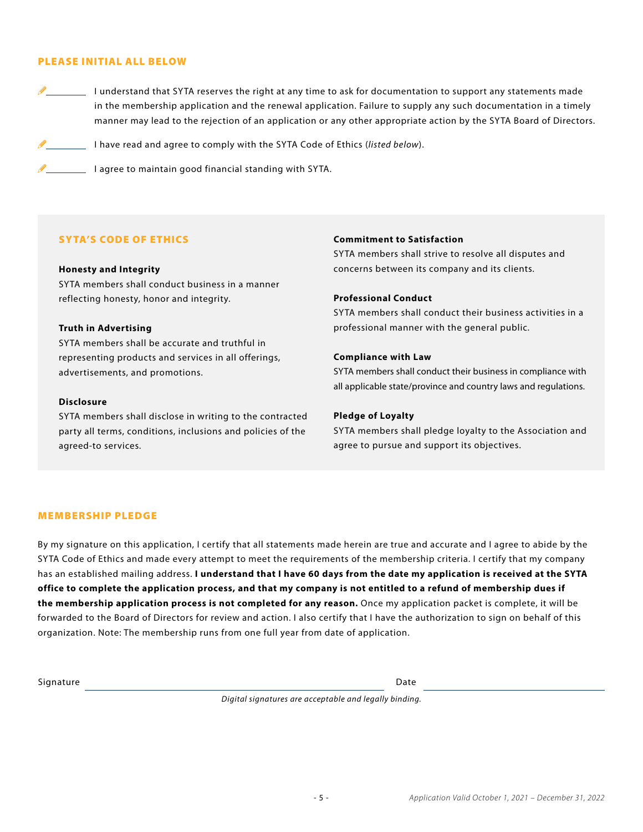#### PLEASE INITIAL ALL BELOW

I understand that SYTA reserves the right at any time to ask for documentation to support any statements made in the membership application and the renewal application. Failure to supply any such documentation in a timely manner may lead to the rejection of an application or any other appropriate action by the SYTA Board of Directors.

I have read and agree to comply with the SYTA Code of Ethics (*listed below*).

 $\mathscr{I}$   $\blacksquare$  I agree to maintain good financial standing with SYTA.

## SYTA'S CODE OF ETHICS

#### **Honesty and Integrity**

SYTA members shall conduct business in a manner reflecting honesty, honor and integrity.

#### **Truth in Advertising**

SYTA members shall be accurate and truthful in representing products and services in all offerings, advertisements, and promotions.

#### **Disclosure**

SYTA members shall disclose in writing to the contracted party all terms, conditions, inclusions and policies of the agreed-to services.

#### **Commitment to Satisfaction**

SYTA members shall strive to resolve all disputes and concerns between its company and its clients.

#### **Professional Conduct**

SYTA members shall conduct their business activities in a professional manner with the general public.

#### **Compliance with Law**

SYTA members shall conduct their business in compliance with all applicable state/province and country laws and regulations.

#### **Pledge of Loyalty**

SYTA members shall pledge loyalty to the Association and agree to pursue and support its objectives.

#### MEMBERSHIP PLEDGE

By my signature on this application, I certify that all statements made herein are true and accurate and I agree to abide by the SYTA Code of Ethics and made every attempt to meet the requirements of the membership criteria. I certify that my company has an established mailing address. **I understand that I have 60 days from the date my application is received at the SYTA office to complete the application process, and that my company is not entitled to a refund of membership dues if the membership application process is not completed for any reason.** Once my application packet is complete, it will be forwarded to the Board of Directors for review and action. I also certify that I have the authorization to sign on behalf of this organization. Note: The membership runs from one full year from date of application.

Signature Date Date of the Date of the Date of the Date of the Date of the Date of the Date of the Date of the Date of the Date of the Date of the Date of the Date of the Date of the Date of the Date of the Date of the Dat

*Digital signatures are acceptable and legally binding.*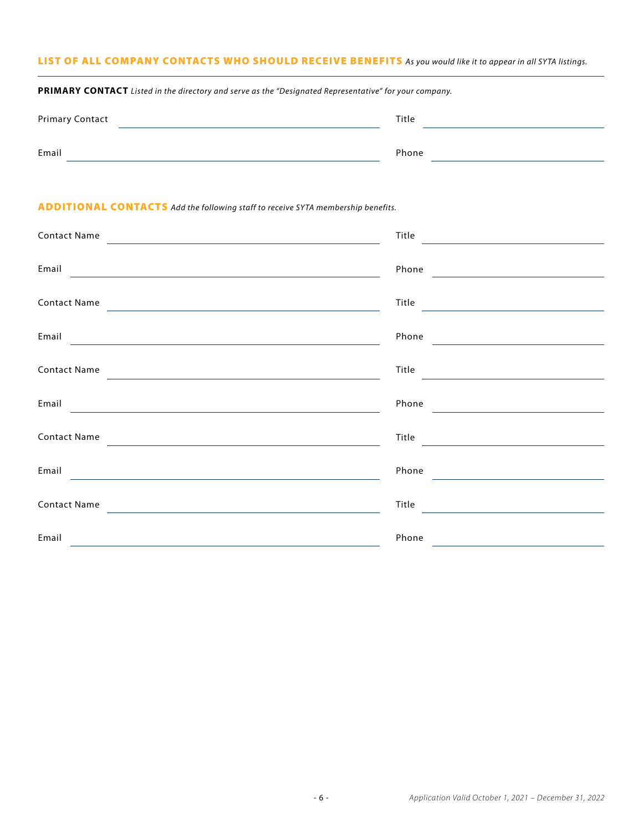## LIST OF ALL COMPANY CONTACTS WHO SHOULD RECEIVE BENEFITS *As you would like it to appear in all SYTA listings.*

| <b>Primary Contact</b> | Title |  |
|------------------------|-------|--|
| Email                  | Phone |  |

## ADDITIONAL CONTACTS *Add the following staff to receive SYTA membership benefits.*

**PRIMARY CONTACT** *Listed in the directory and serve as the "Designated Representative" for your company.*

| <b>Contact Name</b>                                                                                                                         | Title<br><u>and the state of the state of the state of the state of the state of the state of the state of the state of th</u> |
|---------------------------------------------------------------------------------------------------------------------------------------------|--------------------------------------------------------------------------------------------------------------------------------|
| Email                                                                                                                                       | Phone                                                                                                                          |
| <u> 1989 - Johann John Stone, markin sanat a shekara ta 1989 - An tsarat a shekara ta 1989 - An tsarat a shekara</u>                        | <u> 1989 - Jan Stein Stein Stein Stein Stein Stein Stein Stein Stein Stein Stein Stein Stein Stein Stein Stein S</u>           |
| <b>Contact Name</b><br><u> 1980 - Jan Stein Stein Stein Stein Stein Stein Stein Stein Stein Stein Stein Stein Stein Stein Stein Stein S</u> | Title <u>__________________</u>                                                                                                |
| Email                                                                                                                                       | Phone                                                                                                                          |
| <u> 1980 - Johann Barbara, martxa alemaniar a</u>                                                                                           |                                                                                                                                |
| <b>Contact Name</b>                                                                                                                         | Title                                                                                                                          |
|                                                                                                                                             |                                                                                                                                |
| Email                                                                                                                                       | Phone                                                                                                                          |
| <b>Contact Name</b>                                                                                                                         | Title                                                                                                                          |
|                                                                                                                                             |                                                                                                                                |
| Email<br><u> - Andreas Andreas Andreas Andreas Andreas Andreas Andreas Andreas Andreas Andreas Andreas Andreas Andreas And</u>              | Phone                                                                                                                          |
| <b>Contact Name</b>                                                                                                                         | Title                                                                                                                          |
| <u> 1980 - Johann John Stone, markin fizik eta idazlearia (h. 1980).</u>                                                                    |                                                                                                                                |
| Email                                                                                                                                       | Phone                                                                                                                          |